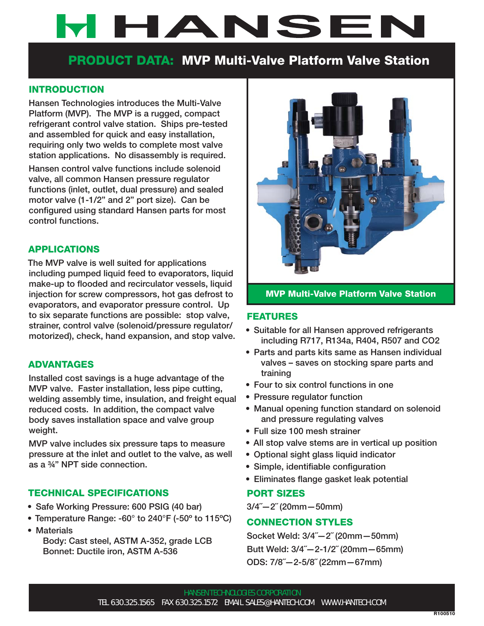# **WHANSEN**

## **PRODUCT DATA: MVP Multi-Valve Platform Valve Station**

#### **INTRODUCTION**

**Hansen Technologies introduces the Multi-Valve Platform (MVP). The MVP is a rugged, compact refrigerant control valve station. Ships pre-tested and assembled for quick and easy installation, requiring only two welds to complete most valve station applications. No disassembly is required.**

**Hansen control valve functions include solenoid valve, all common Hansen pressure regulator functions (inlet, outlet, dual pressure) and sealed motor valve (1-1/2" and 2" port size). Can be**  configured using standard Hansen parts for most **control functions.** 

#### **APPLICATIONS**

**The MVP valve is well suited for applications including pumped liquid feed to evaporators, liquid**  make-up to flooded and recirculator vessels, liquid **injection for screw compressors, hot gas defrost to evaporators, and evaporator pressure control. Up to six separate functions are possible: stop valve, strainer, control valve (solenoid/pressure regulator/ motorized), check, hand expansion, and stop valve.**

#### **ADVANTAGES**

**Installed cost savings is a huge advantage of the MVP valve. Faster installation, less pipe cutting, welding assembly time, insulation, and freight equal reduced costs. In addition, the compact valve body saves installation space and valve group weight.**

**MVP valve includes six pressure taps to measure pressure at the inlet and outlet to the valve, as well as a ¾" NPT side connection.**

#### **TECHNICAL SPECIFICATIONS**

- **Safe Working Pressure: 600 PSIG (40 bar)**
- **Temperature Range: -60° to 240°F (-50º to 115ºC)**
- **Materials Body: Cast steel, ASTM A-352, grade LCB Bonnet: Ductile iron, ASTM A-536**



#### **MVP Multi-Valve Platform Valve Station**

#### **FEATURES**

- **Suitable for all Hansen approved refrigerants including R717, R134a, R404, R507 and CO2**
- **Parts and parts kits same as Hansen individual valves – saves on stocking spare parts and training**
- **Four to six control functions in one**
- **Pressure regulator function**
- **Manual opening function standard on solenoid and pressure regulating valves**
- **Full size 100 mesh strainer**
- **All stop valve stems are in vertical up position**
- **Optional sight glass liquid indicator**
- **Simple, identifiable configuration**
- **Eliminates flange gasket leak potential**

#### **PORT SIZES**

**3/4˝—2˝ (20mm—50mm)**

#### **CONNECTION STYLES**

**Socket Weld: 3/4˝—2˝ (20mm—50mm) Butt Weld: 3/4˝—2-1/2˝ (20mm—65mm) ODS: 7/8˝—2-5/8˝ (22mm—67mm)**